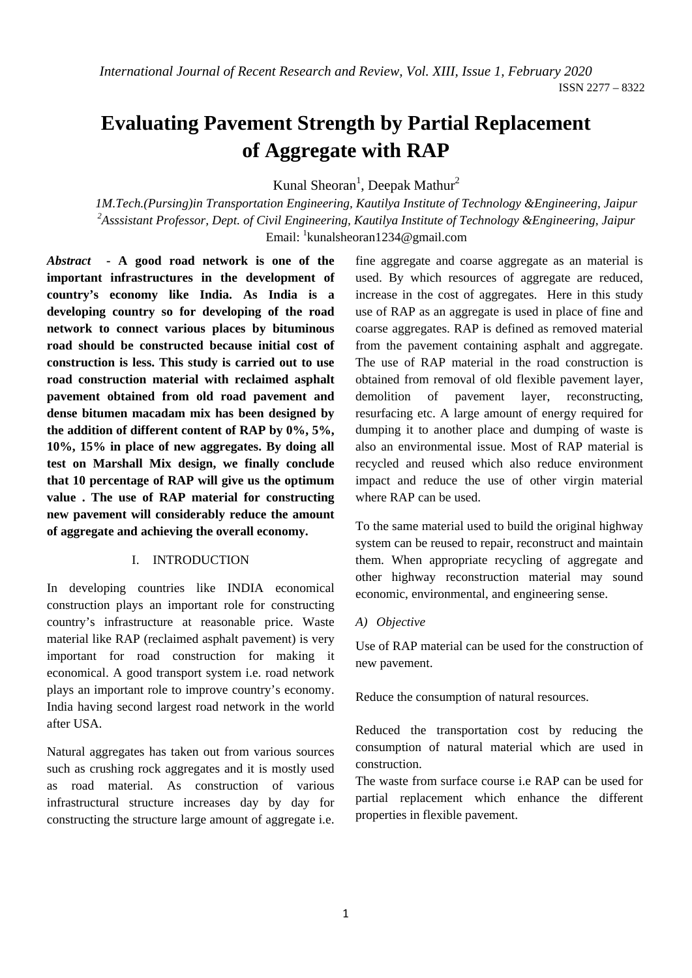# **Evaluating Pavement Strength by Partial Replacement of Aggregate with RAP**

Kunal Sheoran<sup>1</sup>, Deepak Mathur<sup>2</sup>

*1M.Tech.(Pursing)in Transportation Engineering, Kautilya Institute of Technology &Engineering, Jaipur 2 Asssistant Professor, Dept. of Civil Engineering, Kautilya Institute of Technology &Engineering, Jaipur*  Email: <sup>1</sup>kunalsheoran1234@gmail.com

*Abstract* **- A good road network is one of the important infrastructures in the development of country's economy like India. As India is a developing country so for developing of the road network to connect various places by bituminous road should be constructed because initial cost of construction is less. This study is carried out to use road construction material with reclaimed asphalt pavement obtained from old road pavement and dense bitumen macadam mix has been designed by the addition of different content of RAP by 0%, 5%, 10%, 15% in place of new aggregates. By doing all test on Marshall Mix design, we finally conclude that 10 percentage of RAP will give us the optimum value . The use of RAP material for constructing new pavement will considerably reduce the amount of aggregate and achieving the overall economy.**

#### I. INTRODUCTION

In developing countries like INDIA economical construction plays an important role for constructing country's infrastructure at reasonable price. Waste material like RAP (reclaimed asphalt pavement) is very important for road construction for making it economical. A good transport system i.e. road network plays an important role to improve country's economy. India having second largest road network in the world after USA.

Natural aggregates has taken out from various sources such as crushing rock aggregates and it is mostly used as road material. As construction of various infrastructural structure increases day by day for constructing the structure large amount of aggregate i.e.

fine aggregate and coarse aggregate as an material is used. By which resources of aggregate are reduced, increase in the cost of aggregates. Here in this study use of RAP as an aggregate is used in place of fine and coarse aggregates. RAP is defined as removed material from the pavement containing asphalt and aggregate. The use of RAP material in the road construction is obtained from removal of old flexible pavement layer, demolition of pavement layer, reconstructing, resurfacing etc. A large amount of energy required for dumping it to another place and dumping of waste is also an environmental issue. Most of RAP material is recycled and reused which also reduce environment impact and reduce the use of other virgin material where RAP can be used.

To the same material used to build the original highway system can be reused to repair, reconstruct and maintain them. When appropriate recycling of aggregate and other highway reconstruction material may sound economic, environmental, and engineering sense.

#### *A) Objective*

Use of RAP material can be used for the construction of new pavement.

Reduce the consumption of natural resources.

Reduced the transportation cost by reducing the consumption of natural material which are used in construction.

The waste from surface course i.e RAP can be used for partial replacement which enhance the different properties in flexible pavement.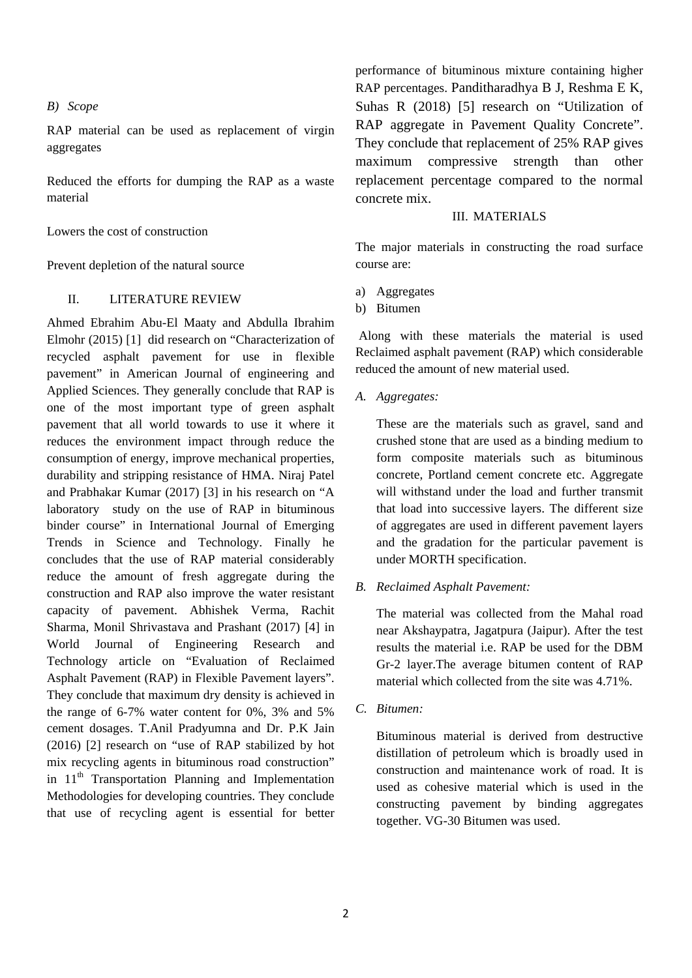#### *B) Scope*

RAP material can be used as replacement of virgin aggregates

Reduced the efforts for dumping the RAP as a waste material

Lowers the cost of construction

Prevent depletion of the natural source

## II. LITERATURE REVIEW

Ahmed Ebrahim Abu-El Maaty and Abdulla Ibrahim Elmohr (2015) [1] did research on "Characterization of recycled asphalt pavement for use in flexible pavement" in American Journal of engineering and Applied Sciences. They generally conclude that RAP is one of the most important type of green asphalt pavement that all world towards to use it where it reduces the environment impact through reduce the consumption of energy, improve mechanical properties, durability and stripping resistance of HMA. Niraj Patel and Prabhakar Kumar (2017) [3] in his research on "A laboratory study on the use of RAP in bituminous binder course" in International Journal of Emerging Trends in Science and Technology. Finally he concludes that the use of RAP material considerably reduce the amount of fresh aggregate during the construction and RAP also improve the water resistant capacity of pavement. Abhishek Verma, Rachit Sharma, Monil Shrivastava and Prashant (2017) [4] in World Journal of Engineering Research and Technology article on "Evaluation of Reclaimed Asphalt Pavement (RAP) in Flexible Pavement layers". They conclude that maximum dry density is achieved in the range of 6-7% water content for 0%, 3% and 5% cement dosages. T.Anil Pradyumna and Dr. P.K Jain (2016) [2] research on "use of RAP stabilized by hot mix recycling agents in bituminous road construction" in  $11<sup>th</sup>$  Transportation Planning and Implementation Methodologies for developing countries. They conclude that use of recycling agent is essential for better

performance of bituminous mixture containing higher RAP percentages. Panditharadhya B J, Reshma E K, Suhas R (2018) [5] research on "Utilization of RAP aggregate in Pavement Quality Concrete". They conclude that replacement of 25% RAP gives maximum compressive strength than other replacement percentage compared to the normal concrete mix.

#### III. MATERIALS

The major materials in constructing the road surface course are:

- a) Aggregates
- b) Bitumen

 Along with these materials the material is used Reclaimed asphalt pavement (RAP) which considerable reduced the amount of new material used.

*A. Aggregates:* 

These are the materials such as gravel, sand and crushed stone that are used as a binding medium to form composite materials such as bituminous concrete, Portland cement concrete etc. Aggregate will withstand under the load and further transmit that load into successive layers. The different size of aggregates are used in different pavement layers and the gradation for the particular pavement is under MORTH specification.

*B. Reclaimed Asphalt Pavement:* 

The material was collected from the Mahal road near Akshaypatra, Jagatpura (Jaipur). After the test results the material i.e. RAP be used for the DBM Gr-2 layer.The average bitumen content of RAP material which collected from the site was 4.71%.

*C. Bitumen:* 

Bituminous material is derived from destructive distillation of petroleum which is broadly used in construction and maintenance work of road. It is used as cohesive material which is used in the constructing pavement by binding aggregates together. VG-30 Bitumen was used.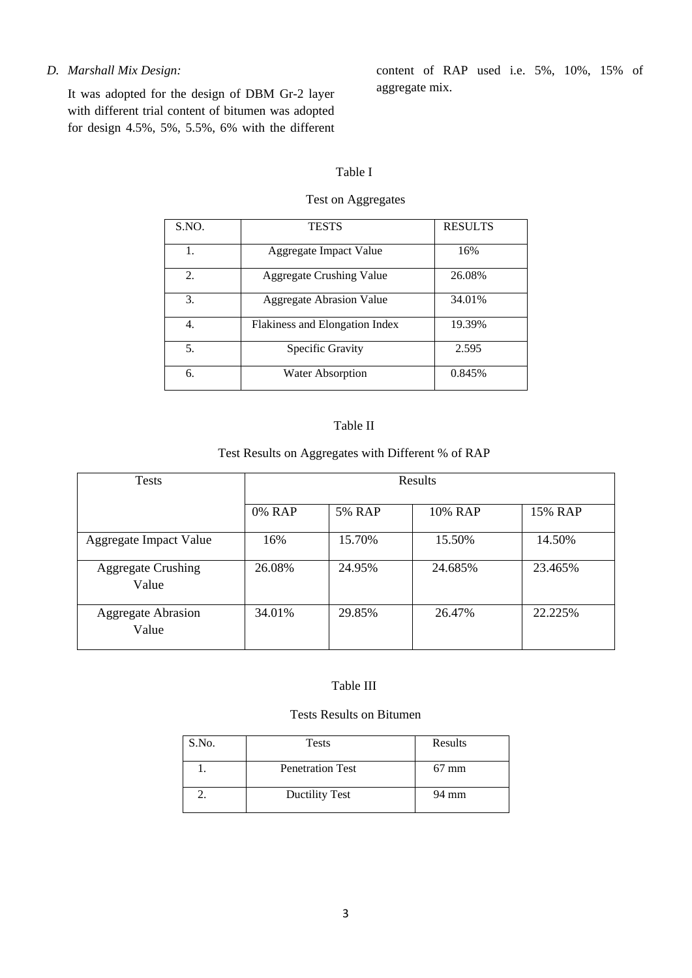## *D. Marshall Mix Design:*

It was adopted for the design of DBM Gr-2 layer with different trial content of bitumen was adopted for design 4.5%, 5%, 5.5%, 6% with the different content of RAP used i.e. 5%, 10%, 15% of aggregate mix.

#### Table I

## Test on Aggregates

| S.NO. | <b>TESTS</b>                    | <b>RESULTS</b> |
|-------|---------------------------------|----------------|
| 1.    | Aggregate Impact Value          | 16%            |
| 2.    | <b>Aggregate Crushing Value</b> | 26.08%         |
| 3.    | <b>Aggregate Abrasion Value</b> | 34.01%         |
| 4.    | Flakiness and Elongation Index  | 19.39%         |
| 5.    | Specific Gravity                | 2.595          |
| 6.    | <b>Water Absorption</b>         | 0.845%         |

## Table II

## Test Results on Aggregates with Different % of RAP

| <b>Tests</b>                       | <b>Results</b> |               |         |         |  |  |  |  |
|------------------------------------|----------------|---------------|---------|---------|--|--|--|--|
|                                    | 0% RAP         | <b>5% RAP</b> | 10% RAP | 15% RAP |  |  |  |  |
| Aggregate Impact Value             | 16%            | 15.70%        | 15.50%  | 14.50%  |  |  |  |  |
| <b>Aggregate Crushing</b><br>Value | 26.08%         | 24.95%        | 24.685% | 23.465% |  |  |  |  |
| <b>Aggregate Abrasion</b><br>Value | 34.01%         | 29.85%        | 26.47%  | 22.225% |  |  |  |  |

#### Table III

#### Tests Results on Bitumen

| S.No. | <b>Tests</b>            | Results         |
|-------|-------------------------|-----------------|
|       | <b>Penetration Test</b> | $67 \text{ mm}$ |
|       | <b>Ductility Test</b>   | 94 mm           |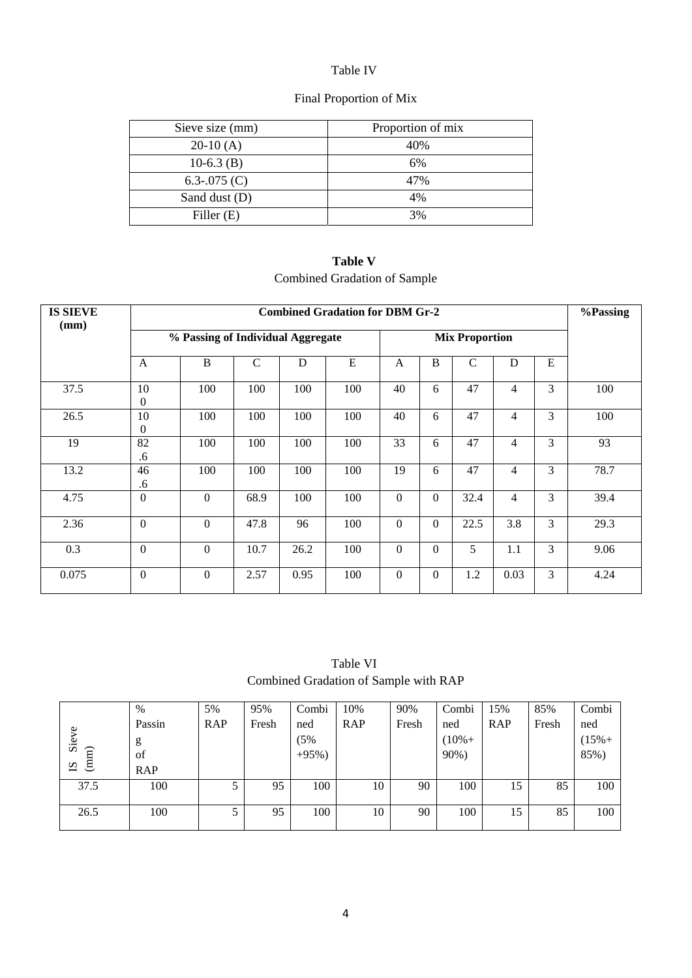## Table IV

# Final Proportion of Mix

| Sieve size (mm) | Proportion of mix |
|-----------------|-------------------|
| $20-10(A)$      | 40%               |
| $10-6.3$ (B)    | 6%                |
| 6.3-.075 $(C)$  | 47%               |
| Sand dust (D)   | 4%                |
| Filler $(E)$    | 3%                |

**Table V**  Combined Gradation of Sample

| <b>IS SIEVE</b> | <b>Combined Gradation for DBM Gr-2</b> |                                   |             |                       |           |                  |                |               |                |   |      |
|-----------------|----------------------------------------|-----------------------------------|-------------|-----------------------|-----------|------------------|----------------|---------------|----------------|---|------|
| (mm)            |                                        | % Passing of Individual Aggregate |             | <b>Mix Proportion</b> |           |                  |                |               |                |   |      |
|                 | $\mathbf{A}$                           | B                                 | $\mathbf C$ | D                     | ${\bf E}$ | $\mathbf{A}$     | B              | $\mathcal{C}$ | D              | E |      |
| 37.5            | 10<br>0                                | 100                               | 100         | 100                   | 100       | 40               | 6              | 47            | $\overline{4}$ | 3 | 100  |
| 26.5            | 10<br>0                                | 100                               | 100         | 100                   | 100       | 40               | 6              | 47            | $\overline{4}$ | 3 | 100  |
| 19              | 82<br>.6                               | 100                               | 100         | 100                   | 100       | 33               | 6              | 47            | $\overline{4}$ | 3 | 93   |
| 13.2            | 46<br>.6                               | 100                               | 100         | 100                   | 100       | 19               | 6              | 47            | $\overline{4}$ | 3 | 78.7 |
| 4.75            | $\mathbf{0}$                           | $\overline{0}$                    | 68.9        | 100                   | 100       | $\mathbf{0}$     | $\Omega$       | 32.4          | $\overline{4}$ | 3 | 39.4 |
| 2.36            | $\boldsymbol{0}$                       | $\overline{0}$                    | 47.8        | 96                    | 100       | $\mathbf{0}$     | $\Omega$       | 22.5          | 3.8            | 3 | 29.3 |
| 0.3             | $\boldsymbol{0}$                       | $\mathbf{0}$                      | 10.7        | 26.2                  | 100       | $\boldsymbol{0}$ | $\overline{0}$ | 5             | 1.1            | 3 | 9.06 |
| 0.075           | $\Omega$                               | $\theta$                          | 2.57        | 0.95                  | 100       | $\mathbf{0}$     | $\Omega$       | 1.2           | 0.03           | 3 | 4.24 |

Table VI Combined Gradation of Sample with RAP

| $\circ$<br>Sie<br>$(S \nS)$ | $\%$<br>Passin<br>g<br>of<br><b>RAP</b> | 5%<br><b>RAP</b> | 95%<br>Fresh | Combi<br>ned<br>(5%<br>$+95%$ ) | 10%<br><b>RAP</b> | 90%<br>Fresh | Combi<br>ned<br>$(10\% +$<br>90%) | 15%<br><b>RAP</b> | 85%<br>Fresh | Combi<br>ned<br>$(15% +$<br>85%) |
|-----------------------------|-----------------------------------------|------------------|--------------|---------------------------------|-------------------|--------------|-----------------------------------|-------------------|--------------|----------------------------------|
| 37.5                        | 100                                     | J                | 95           | 100                             | 10                | 90           | 100                               | 15                | 85           | 100                              |
| 26.5                        | 100                                     |                  | 95           | 100                             | 10                | 90           | 100                               | 15                | 85           | 100                              |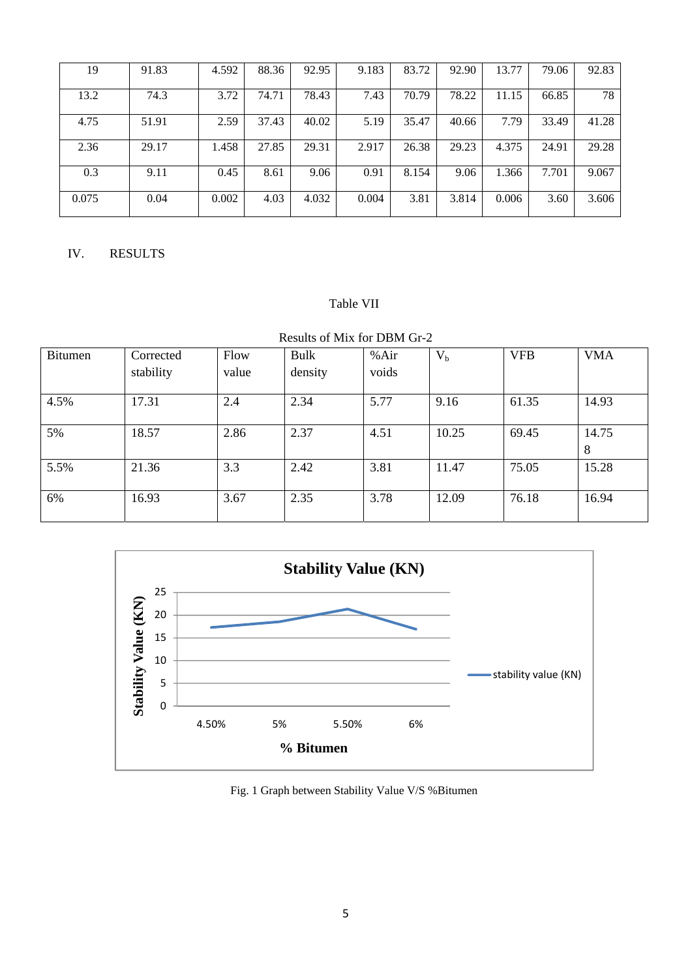| 19    | 91.83 | 4.592 | 88.36 | 92.95 | 9.183 | 83.72 | 92.90 | 13.77 | 79.06 | 92.83 |
|-------|-------|-------|-------|-------|-------|-------|-------|-------|-------|-------|
| 13.2  | 74.3  | 3.72  | 74.71 | 78.43 | 7.43  | 70.79 | 78.22 | 11.15 | 66.85 | 78    |
| 4.75  | 51.91 | 2.59  | 37.43 | 40.02 | 5.19  | 35.47 | 40.66 | 7.79  | 33.49 | 41.28 |
| 2.36  | 29.17 | 1.458 | 27.85 | 29.31 | 2.917 | 26.38 | 29.23 | 4.375 | 24.91 | 29.28 |
| 0.3   | 9.11  | 0.45  | 8.61  | 9.06  | 0.91  | 8.154 | 9.06  | 1.366 | 7.701 | 9.067 |
| 0.075 | 0.04  | 0.002 | 4.03  | 4.032 | 0.004 | 3.81  | 3.814 | 0.006 | 3.60  | 3.606 |

## IV. RESULTS

## Table VII

# Results of Mix for DBM Gr-2

| Bitumen | Corrected | Flow  | Bulk    | %Air  | $V_{b}$ | <b>VFB</b> | <b>VMA</b> |
|---------|-----------|-------|---------|-------|---------|------------|------------|
|         | stability | value | density | voids |         |            |            |
| 4.5%    | 17.31     | 2.4   | 2.34    | 5.77  | 9.16    | 61.35      | 14.93      |
| 5%      | 18.57     | 2.86  | 2.37    | 4.51  | 10.25   | 69.45      | 14.75<br>8 |
| 5.5%    | 21.36     | 3.3   | 2.42    | 3.81  | 11.47   | 75.05      | 15.28      |
| 6%      | 16.93     | 3.67  | 2.35    | 3.78  | 12.09   | 76.18      | 16.94      |



Fig. 1 Graph between Stability Value V/S %Bitumen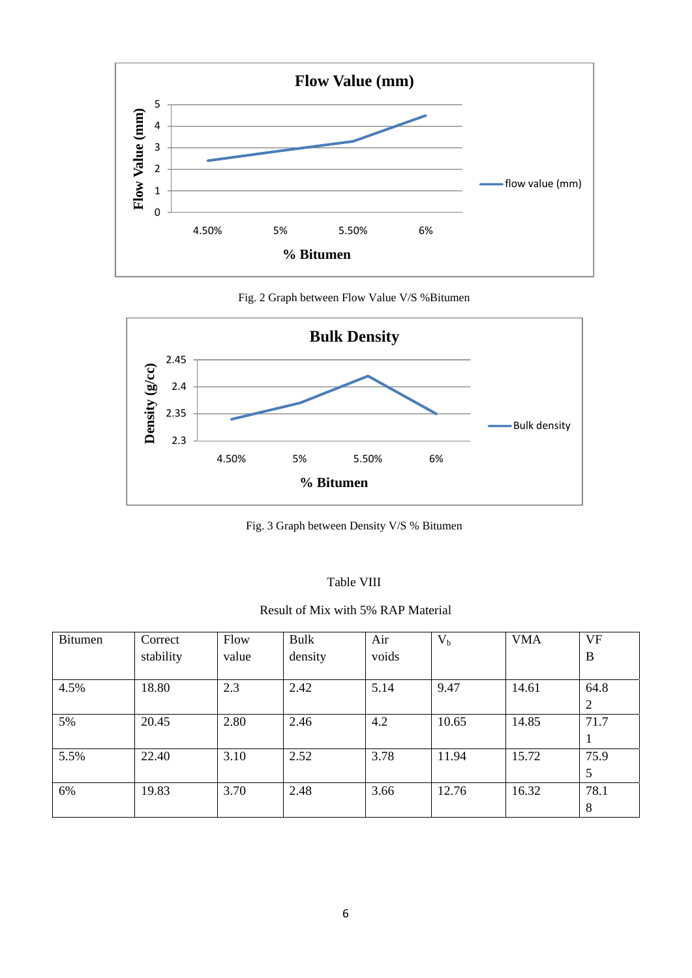

Fig. 2 Graph between Flow Value V/S %Bitumen



Fig. 3 Graph between Density V/S % Bitumen

| anie | I |
|------|---|
|------|---|

Result of Mix with 5% RAP Material

| Bitumen | Correct   | Flow  | Bulk    | Air   | $V_{b}$ | <b>VMA</b> | <b>VF</b>              |
|---------|-----------|-------|---------|-------|---------|------------|------------------------|
|         | stability | value | density | voids |         |            | $\bf{B}$               |
| 4.5%    | 18.80     | 2.3   | 2.42    | 5.14  | 9.47    | 14.61      | 64.8<br>$\overline{2}$ |
| 5%      | 20.45     | 2.80  | 2.46    | 4.2   | 10.65   | 14.85      | 71.7<br>1              |
| 5.5%    | 22.40     | 3.10  | 2.52    | 3.78  | 11.94   | 15.72      | 75.9<br>5              |
| 6%      | 19.83     | 3.70  | 2.48    | 3.66  | 12.76   | 16.32      | 78.1<br>8              |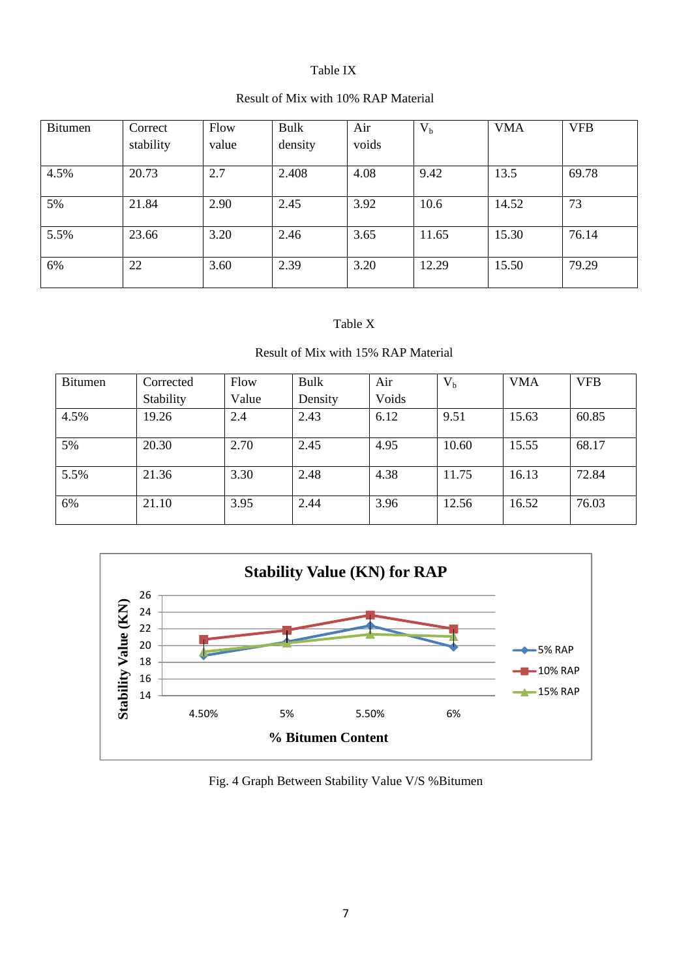## Table IX

## Result of Mix with 10% RAP Material

| <b>Bitumen</b> | Correct<br>stability | Flow<br>value | Bulk<br>density | Air<br>voids | $V_{b}$ | <b>VMA</b> | <b>VFB</b> |
|----------------|----------------------|---------------|-----------------|--------------|---------|------------|------------|
| 4.5%           | 20.73                | 2.7           | 2.408           | 4.08         | 9.42    | 13.5       | 69.78      |
| 5%             | 21.84                | 2.90          | 2.45            | 3.92         | 10.6    | 14.52      | 73         |
| 5.5%           | 23.66                | 3.20          | 2.46            | 3.65         | 11.65   | 15.30      | 76.14      |
| 6%             | 22                   | 3.60          | 2.39            | 3.20         | 12.29   | 15.50      | 79.29      |

## Table X

# Result of Mix with 15% RAP Material

| <b>Bitumen</b> | Corrected | Flow  | Bulk    | Air   | $V_{b}$ | <b>VMA</b> | <b>VFB</b> |
|----------------|-----------|-------|---------|-------|---------|------------|------------|
|                | Stability | Value | Density | Voids |         |            |            |
| 4.5%           | 19.26     | 2.4   | 2.43    | 6.12  | 9.51    | 15.63      | 60.85      |
| 5%             | 20.30     | 2.70  | 2.45    | 4.95  | 10.60   | 15.55      | 68.17      |
| 5.5%           | 21.36     | 3.30  | 2.48    | 4.38  | 11.75   | 16.13      | 72.84      |
| 6%             | 21.10     | 3.95  | 2.44    | 3.96  | 12.56   | 16.52      | 76.03      |



# Fig. 4 Graph Between Stability Value V/S %Bitumen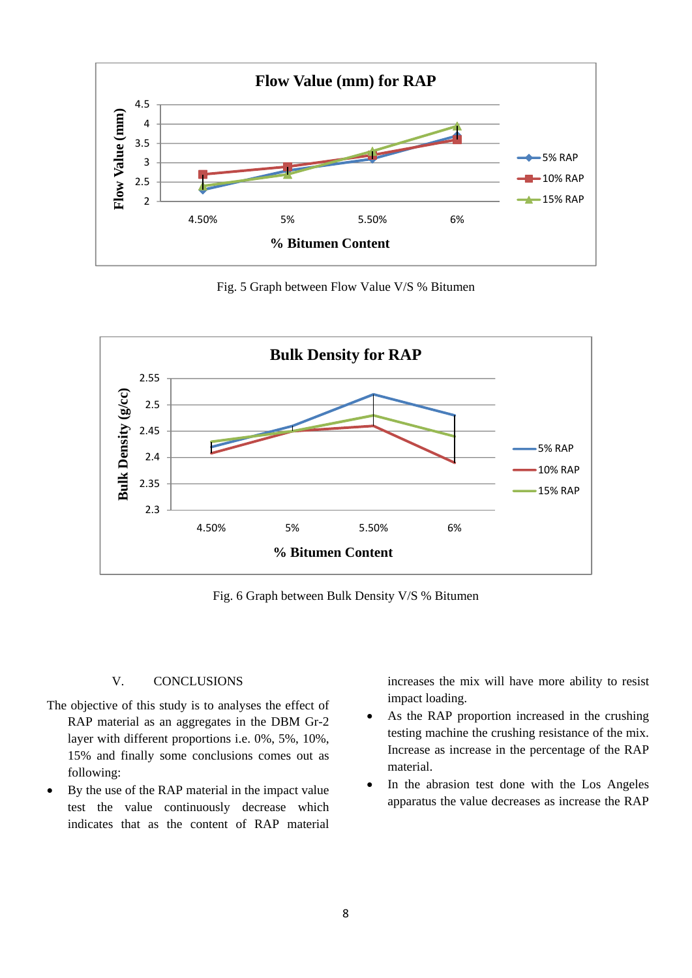

Fig. 5 Graph between Flow Value V/S % Bitumen



Fig. 6 Graph between Bulk Density V/S % Bitumen

## V. CONCLUSIONS

- The objective of this study is to analyses the effect of RAP material as an aggregates in the DBM Gr-2 layer with different proportions i.e. 0%, 5%, 10%, 15% and finally some conclusions comes out as following:
- By the use of the RAP material in the impact value test the value continuously decrease which indicates that as the content of RAP material

increases the mix will have more ability to resist impact loading.

- As the RAP proportion increased in the crushing testing machine the crushing resistance of the mix. Increase as increase in the percentage of the RAP material.
- In the abrasion test done with the Los Angeles apparatus the value decreases as increase the RAP